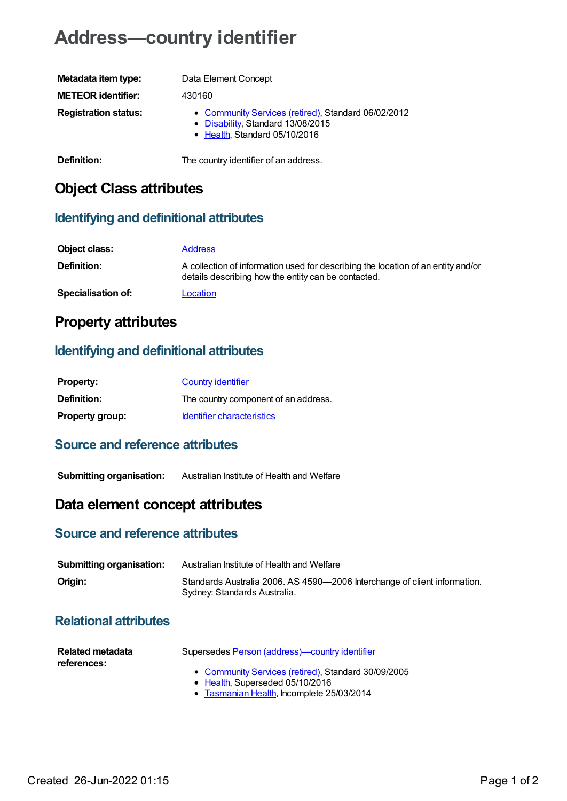# **Address—country identifier**

| Metadata item type:         | Data Element Concept                                                                                                      |
|-----------------------------|---------------------------------------------------------------------------------------------------------------------------|
| <b>METEOR identifier:</b>   | 430160                                                                                                                    |
| <b>Registration status:</b> | • Community Services (retired), Standard 06/02/2012<br>• Disability, Standard 13/08/2015<br>• Health, Standard 05/10/2016 |
| Definition:                 | The country identifier of an address.                                                                                     |

## **Object Class attributes**

#### **Identifying and definitional attributes**

| Object class:      | <b>Address</b>                                                                                                                          |
|--------------------|-----------------------------------------------------------------------------------------------------------------------------------------|
| Definition:        | A collection of information used for describing the location of an entity and/or<br>details describing how the entity can be contacted. |
| Specialisation of: | Location                                                                                                                                |

## **Property attributes**

#### **Identifying and definitional attributes**

| <b>Property:</b>       | Country identifier                   |
|------------------------|--------------------------------------|
| <b>Definition:</b>     | The country component of an address. |
| <b>Property group:</b> | <b>Identifier characteristics</b>    |

#### **Source and reference attributes**

**Submitting organisation:** Australian Institute of Health and Welfare

## **Data element concept attributes**

#### **Source and reference attributes**

| <b>Submitting organisation:</b> | Australian Institute of Health and Welfare                                                                |
|---------------------------------|-----------------------------------------------------------------------------------------------------------|
| Origin:                         | Standards Australia 2006. AS 4590-2006 Interchange of client information.<br>Sydney: Standards Australia. |

### **Relational attributes**

| Related metadata<br>references: | Supersedes Person (address)—country identifier                                         |
|---------------------------------|----------------------------------------------------------------------------------------|
|                                 | • Community Services (retired), Standard 30/09/2005<br>• Health, Superseded 05/10/2016 |

• [Tasmanian](https://meteor.aihw.gov.au/RegistrationAuthority/15) Health, Incomplete 25/03/2014